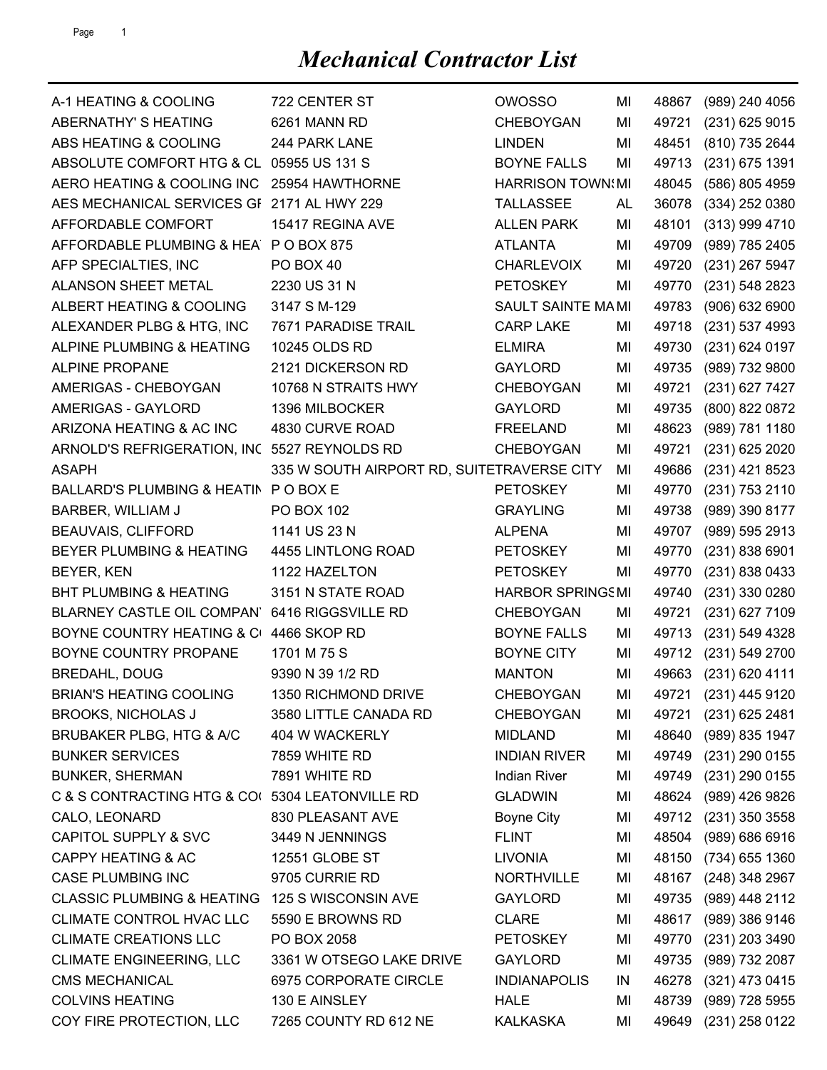| A-1 HEATING & COOLING                           | 722 CENTER ST                              | <b>OWOSSO</b>           | MI | 48867 | (989) 240 4056       |
|-------------------------------------------------|--------------------------------------------|-------------------------|----|-------|----------------------|
| ABERNATHY' S HEATING                            | 6261 MANN RD                               | <b>CHEBOYGAN</b>        | MI | 49721 | (231) 625 9015       |
| ABS HEATING & COOLING                           | 244 PARK LANE                              | <b>LINDEN</b>           | MI | 48451 | (810) 735 2644       |
| ABSOLUTE COMFORT HTG & CL 05955 US 131 S        |                                            | <b>BOYNE FALLS</b>      | MI | 49713 | (231) 675 1391       |
| AERO HEATING & COOLING INC                      | 25954 HAWTHORNE                            | <b>HARRISON TOWN:MI</b> |    | 48045 | (586) 805 4959       |
| AES MECHANICAL SERVICES GF 2171 AL HWY 229      |                                            | <b>TALLASSEE</b>        | AL | 36078 | (334) 252 0380       |
| AFFORDABLE COMFORT                              | 15417 REGINA AVE                           | <b>ALLEN PARK</b>       | ΜI | 48101 | (313) 999 4710       |
| AFFORDABLE PLUMBING & HEA P O BOX 875           |                                            | <b>ATLANTA</b>          | MI | 49709 | (989) 785 2405       |
| AFP SPECIALTIES, INC                            | PO BOX 40                                  | <b>CHARLEVOIX</b>       | MI | 49720 | (231) 267 5947       |
| <b>ALANSON SHEET METAL</b>                      | 2230 US 31 N                               | <b>PETOSKEY</b>         | MI | 49770 | (231) 548 2823       |
| ALBERT HEATING & COOLING                        | 3147 S M-129                               | SAULT SAINTE MAMI       |    | 49783 | (906) 632 6900       |
| ALEXANDER PLBG & HTG, INC                       | 7671 PARADISE TRAIL                        | <b>CARP LAKE</b>        | MI | 49718 | (231) 537 4993       |
| ALPINE PLUMBING & HEATING                       | 10245 OLDS RD                              | <b>ELMIRA</b>           | ΜI | 49730 | (231) 624 0197       |
| <b>ALPINE PROPANE</b>                           | 2121 DICKERSON RD                          | <b>GAYLORD</b>          | ΜI | 49735 | (989) 732 9800       |
| AMERIGAS - CHEBOYGAN                            | 10768 N STRAITS HWY                        | <b>CHEBOYGAN</b>        | ΜI | 49721 | (231) 627 7427       |
| <b>AMERIGAS - GAYLORD</b>                       | 1396 MILBOCKER                             | <b>GAYLORD</b>          | ΜI | 49735 | (800) 822 0872       |
| ARIZONA HEATING & AC INC                        | 4830 CURVE ROAD                            | <b>FREELAND</b>         | ΜI | 48623 | (989) 781 1180       |
| ARNOLD'S REFRIGERATION, INC 5527 REYNOLDS RD    |                                            | <b>CHEBOYGAN</b>        | MI | 49721 | (231) 625 2020       |
| <b>ASAPH</b>                                    | 335 W SOUTH AIRPORT RD, SUITETRAVERSE CITY |                         | ΜI | 49686 | (231) 421 8523       |
| BALLARD'S PLUMBING & HEATIN PO BOX E            |                                            | <b>PETOSKEY</b>         | ΜI | 49770 | (231) 753 2110       |
| BARBER, WILLIAM J                               | PO BOX 102                                 | <b>GRAYLING</b>         | MI | 49738 | (989) 390 8177       |
| <b>BEAUVAIS, CLIFFORD</b>                       | 1141 US 23 N                               | <b>ALPENA</b>           | MI | 49707 | (989) 595 2913       |
| BEYER PLUMBING & HEATING                        | 4455 LINTLONG ROAD                         | <b>PETOSKEY</b>         | ΜI | 49770 | (231) 838 6901       |
| BEYER, KEN                                      | 1122 HAZELTON                              | <b>PETOSKEY</b>         | ΜI | 49770 | (231) 838 0433       |
| <b>BHT PLUMBING &amp; HEATING</b>               | 3151 N STATE ROAD                          | <b>HARBOR SPRINGSMI</b> |    | 49740 | (231) 330 0280       |
| <b>BLARNEY CASTLE OIL COMPAN'</b>               | 6416 RIGGSVILLE RD                         | CHEBOYGAN               | ΜI | 49721 | (231) 627 7109       |
| BOYNE COUNTRY HEATING & C 4466 SKOP RD          |                                            | <b>BOYNE FALLS</b>      | MI | 49713 | (231) 549 4328       |
| BOYNE COUNTRY PROPANE                           | 1701 M 75 S                                | <b>BOYNE CITY</b>       | MI | 49712 | (231) 549 2700       |
| <b>BREDAHL, DOUG</b>                            | 9390 N 39 1/2 RD                           | <b>MANTON</b>           | ΜI | 49663 | (231) 620 4111       |
| <b>BRIAN'S HEATING COOLING</b>                  | 1350 RICHMOND DRIVE                        | <b>CHEBOYGAN</b>        | MI |       | 49721 (231) 445 9120 |
| <b>BROOKS, NICHOLAS J</b>                       | 3580 LITTLE CANADA RD                      | CHEBOYGAN               | MI |       | 49721 (231) 625 2481 |
| BRUBAKER PLBG, HTG & A/C                        | 404 W WACKERLY                             | <b>MIDLAND</b>          | MI | 48640 | (989) 835 1947       |
| <b>BUNKER SERVICES</b>                          | 7859 WHITE RD                              | <b>INDIAN RIVER</b>     | MI |       | 49749 (231) 290 0155 |
| <b>BUNKER, SHERMAN</b>                          | 7891 WHITE RD                              | <b>Indian River</b>     | MI | 49749 | (231) 290 0155       |
| C & S CONTRACTING HTG & CO( 5304 LEATONVILLE RD |                                            | <b>GLADWIN</b>          | MI | 48624 | (989) 426 9826       |
| CALO, LEONARD                                   | 830 PLEASANT AVE                           | <b>Boyne City</b>       | MI |       | 49712 (231) 350 3558 |
| CAPITOL SUPPLY & SVC                            | 3449 N JENNINGS                            | <b>FLINT</b>            | MI | 48504 | (989) 686 6916       |
| <b>CAPPY HEATING &amp; AC</b>                   | 12551 GLOBE ST                             | <b>LIVONIA</b>          | ΜI | 48150 | (734) 655 1360       |
| <b>CASE PLUMBING INC</b>                        | 9705 CURRIE RD                             | <b>NORTHVILLE</b>       | MI | 48167 | (248) 348 2967       |
| <b>CLASSIC PLUMBING &amp; HEATING</b>           | 125 S WISCONSIN AVE                        | <b>GAYLORD</b>          | MI | 49735 | (989) 448 2112       |
| CLIMATE CONTROL HVAC LLC                        | 5590 E BROWNS RD                           | <b>CLARE</b>            | ΜI | 48617 | (989) 386 9146       |
| <b>CLIMATE CREATIONS LLC</b>                    | PO BOX 2058                                | <b>PETOSKEY</b>         | ΜI | 49770 | (231) 203 3490       |
| <b>CLIMATE ENGINEERING, LLC</b>                 | 3361 W OTSEGO LAKE DRIVE                   | <b>GAYLORD</b>          | MI | 49735 | (989) 732 2087       |
| <b>CMS MECHANICAL</b>                           | 6975 CORPORATE CIRCLE                      | <b>INDIANAPOLIS</b>     | IN | 46278 | (321) 473 0415       |
| <b>COLVINS HEATING</b>                          | 130 E AINSLEY                              | <b>HALE</b>             | MI | 48739 | (989) 728 5955       |
| COY FIRE PROTECTION, LLC                        | 7265 COUNTY RD 612 NE                      | <b>KALKASKA</b>         | MI | 49649 | (231) 258 0122       |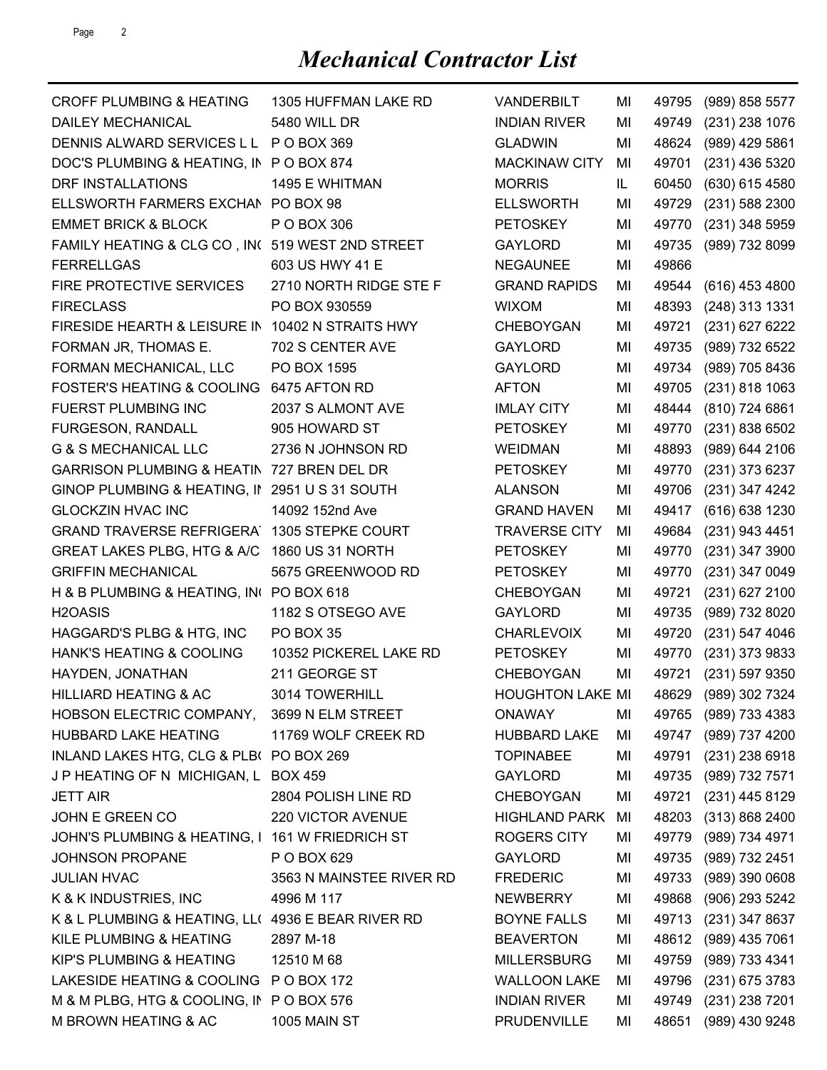| <b>CROFF PLUMBING &amp; HEATING</b>                | 1305 HUFFMAN LAKE RD     | <b>VANDERBILT</b>                     | MI | 49795 | (989) 858 5577       |
|----------------------------------------------------|--------------------------|---------------------------------------|----|-------|----------------------|
| <b>DAILEY MECHANICAL</b>                           | 5480 WILL DR             | <b>INDIAN RIVER</b>                   | MI | 49749 | (231) 238 1076       |
| DENNIS ALWARD SERVICES L L                         | P O BOX 369              | <b>GLADWIN</b>                        | MI | 48624 | (989) 429 5861       |
| DOC'S PLUMBING & HEATING, IN PO BOX 874            |                          | <b>MACKINAW CITY</b>                  | MI | 49701 | (231) 436 5320       |
| DRF INSTALLATIONS                                  | 1495 E WHITMAN           | <b>MORRIS</b>                         | IL | 60450 | (630) 615 4580       |
| ELLSWORTH FARMERS EXCHAN PO BOX 98                 |                          | <b>ELLSWORTH</b>                      | MI | 49729 | (231) 588 2300       |
| <b>EMMET BRICK &amp; BLOCK</b>                     | P O BOX 306              | <b>PETOSKEY</b>                       | MI | 49770 | (231) 348 5959       |
| FAMILY HEATING & CLG CO, IN( 519 WEST 2ND STREET   |                          | <b>GAYLORD</b>                        | ΜI | 49735 | (989) 732 8099       |
| <b>FERRELLGAS</b>                                  | 603 US HWY 41 E          | <b>NEGAUNEE</b>                       | ΜI | 49866 |                      |
| FIRE PROTECTIVE SERVICES                           | 2710 NORTH RIDGE STE F   | <b>GRAND RAPIDS</b>                   | MI | 49544 | $(616)$ 453 4800     |
| <b>FIRECLASS</b>                                   | PO BOX 930559            | <b>WIXOM</b>                          | MI | 48393 | (248) 313 1331       |
| FIRESIDE HEARTH & LEISURE IN 10402 N STRAITS HWY   |                          | <b>CHEBOYGAN</b>                      | MI | 49721 | (231) 627 6222       |
| FORMAN JR, THOMAS E.                               | 702 S CENTER AVE         | <b>GAYLORD</b>                        | ΜI | 49735 | (989) 732 6522       |
| FORMAN MECHANICAL, LLC                             | PO BOX 1595              | <b>GAYLORD</b>                        | MI | 49734 | (989) 705 8436       |
| <b>FOSTER'S HEATING &amp; COOLING</b>              | 6475 AFTON RD            | <b>AFTON</b>                          | MI | 49705 | $(231)$ 818 1063     |
| <b>FUERST PLUMBING INC</b>                         | 2037 S ALMONT AVE        | <b>IMLAY CITY</b>                     | MI | 48444 | (810) 724 6861       |
| FURGESON, RANDALL                                  | 905 HOWARD ST            | <b>PETOSKEY</b>                       | MI | 49770 | (231) 838 6502       |
| <b>G &amp; S MECHANICAL LLC</b>                    | 2736 N JOHNSON RD        | <b>WEIDMAN</b>                        | MI | 48893 | (989) 644 2106       |
| GARRISON PLUMBING & HEATIN 727 BREN DEL DR         |                          | <b>PETOSKEY</b>                       | ΜI | 49770 | (231) 373 6237       |
| GINOP PLUMBING & HEATING, II 2951 U S 31 SOUTH     |                          | <b>ALANSON</b>                        | ΜI | 49706 | (231) 347 4242       |
| <b>GLOCKZIN HVAC INC</b>                           | 14092 152nd Ave          | <b>GRAND HAVEN</b>                    | MI | 49417 | (616) 638 1230       |
| <b>GRAND TRAVERSE REFRIGERA</b>                    | 1305 STEPKE COURT        | <b>TRAVERSE CITY</b>                  | MI | 49684 | (231) 943 4451       |
| GREAT LAKES PLBG, HTG & A/C                        | 1860 US 31 NORTH         | <b>PETOSKEY</b>                       | MI | 49770 | (231) 347 3900       |
| <b>GRIFFIN MECHANICAL</b>                          | 5675 GREENWOOD RD        | <b>PETOSKEY</b>                       | MI | 49770 | (231) 347 0049       |
| H & B PLUMBING & HEATING, INC PO BOX 618           |                          | <b>CHEBOYGAN</b>                      | MI | 49721 | (231) 627 2100       |
| H <sub>2</sub> OASIS                               | 1182 S OTSEGO AVE        | <b>GAYLORD</b>                        | MI | 49735 | (989) 732 8020       |
| HAGGARD'S PLBG & HTG, INC                          | PO BOX 35                | <b>CHARLEVOIX</b>                     | MI | 49720 | $(231)$ 547 4046     |
| <b>HANK'S HEATING &amp; COOLING</b>                | 10352 PICKEREL LAKE RD   | <b>PETOSKEY</b>                       | MI | 49770 | $(231)$ 373 9833     |
| HAYDEN, JONATHAN                                   | 211 GEORGE ST            | <b>CHEBOYGAN</b>                      | MI | 49721 | (231) 597 9350       |
| HILLIARD HEATING & AC                              | 3014 TOWERHILL           | HOUGHTON LAKE MI 48629 (989) 302 7324 |    |       |                      |
| HOBSON ELECTRIC COMPANY,                           | 3699 N ELM STREET        | <b>ONAWAY</b>                         | MI |       | 49765 (989) 733 4383 |
| HUBBARD LAKE HEATING                               | 11769 WOLF CREEK RD      | <b>HUBBARD LAKE</b>                   | MI |       | 49747 (989) 737 4200 |
| INLAND LAKES HTG, CLG & PLB( PO BOX 269            |                          | <b>TOPINABEE</b>                      | MI | 49791 | $(231)$ 238 6918     |
| J P HEATING OF N MICHIGAN, L BOX 459               |                          | <b>GAYLORD</b>                        | MI |       | 49735 (989) 732 7571 |
| <b>JETT AIR</b>                                    | 2804 POLISH LINE RD      | <b>CHEBOYGAN</b>                      | MI | 49721 | (231) 445 8129       |
| JOHN E GREEN CO                                    | 220 VICTOR AVENUE        | <b>HIGHLAND PARK</b>                  | MI |       | 48203 (313) 868 2400 |
| JOHN'S PLUMBING & HEATING, I 161 W FRIEDRICH ST    |                          | <b>ROGERS CITY</b>                    | MI |       | 49779 (989) 734 4971 |
| <b>JOHNSON PROPANE</b>                             | P O BOX 629              | <b>GAYLORD</b>                        | MI |       | 49735 (989) 732 2451 |
| <b>JULIAN HVAC</b>                                 | 3563 N MAINSTEE RIVER RD | <b>FREDERIC</b>                       | MI | 49733 | (989) 390 0608       |
| K & K INDUSTRIES, INC                              | 4996 M 117               | NEWBERRY                              | MI |       | 49868 (906) 293 5242 |
| K & L PLUMBING & HEATING, LL( 4936 E BEAR RIVER RD |                          | <b>BOYNE FALLS</b>                    | MI |       | 49713 (231) 347 8637 |
| KILE PLUMBING & HEATING                            | 2897 M-18                | <b>BEAVERTON</b>                      | MI |       | 48612 (989) 435 7061 |
| KIP'S PLUMBING & HEATING                           | 12510 M 68               | <b>MILLERSBURG</b>                    | MI | 49759 | (989) 733 4341       |
| LAKESIDE HEATING & COOLING P O BOX 172             |                          | <b>WALLOON LAKE</b>                   | MI |       | 49796 (231) 675 3783 |
| M & M PLBG, HTG & COOLING, IN PO BOX 576           |                          | <b>INDIAN RIVER</b>                   | MI |       | 49749 (231) 238 7201 |
| M BROWN HEATING & AC                               | 1005 MAIN ST             | PRUDENVILLE                           | MI |       | 48651 (989) 430 9248 |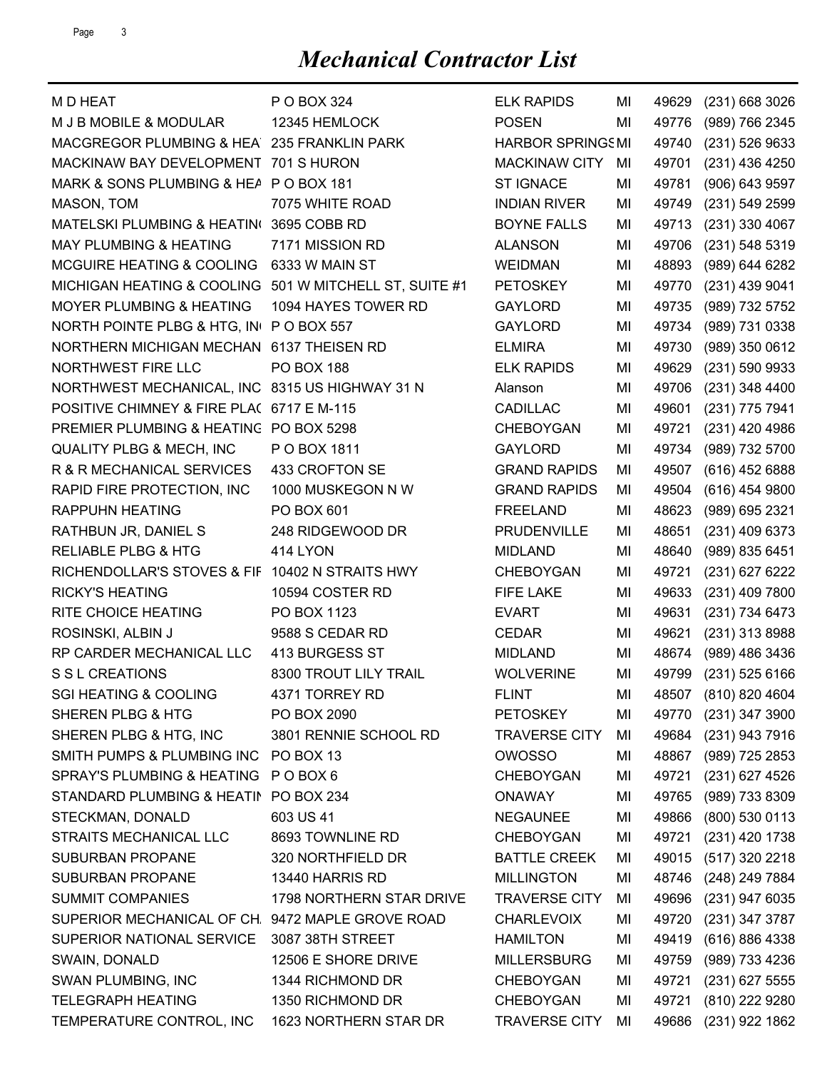| M D HEAT                                         | P O BOX 324                 | <b>ELK RAPIDS</b>       | MI | 49629 | $(231)$ 668 3026     |
|--------------------------------------------------|-----------------------------|-------------------------|----|-------|----------------------|
| M J B MOBILE & MODULAR                           | 12345 HEMLOCK               | <b>POSEN</b>            | MI | 49776 | (989) 766 2345       |
| MACGREGOR PLUMBING & HEA 235 FRANKLIN PARK       |                             | <b>HARBOR SPRINGSMI</b> |    | 49740 | (231) 526 9633       |
| MACKINAW BAY DEVELOPMENT 701 S HURON             |                             | <b>MACKINAW CITY</b>    | MI | 49701 | (231) 436 4250       |
| MARK & SONS PLUMBING & HEA P O BOX 181           |                             | <b>ST IGNACE</b>        | ΜI | 49781 | (906) 643 9597       |
| MASON, TOM                                       | 7075 WHITE ROAD             | <b>INDIAN RIVER</b>     | ΜI | 49749 | (231) 549 2599       |
| MATELSKI PLUMBING & HEATIN(3695 COBB RD          |                             | <b>BOYNE FALLS</b>      | MI | 49713 | (231) 330 4067       |
| <b>MAY PLUMBING &amp; HEATING</b>                | 7171 MISSION RD             | <b>ALANSON</b>          | ΜI | 49706 | (231) 548 5319       |
| <b>MCGUIRE HEATING &amp; COOLING</b>             | 6333 W MAIN ST              | <b>WEIDMAN</b>          | ΜI | 48893 | (989) 644 6282       |
| MICHIGAN HEATING & COOLING                       | 501 W MITCHELL ST, SUITE #1 | <b>PETOSKEY</b>         | MI | 49770 | (231) 439 9041       |
| <b>MOYER PLUMBING &amp; HEATING</b>              | 1094 HAYES TOWER RD         | <b>GAYLORD</b>          | ΜI | 49735 | (989) 732 5752       |
| NORTH POINTE PLBG & HTG, IN PO BOX 557           |                             | <b>GAYLORD</b>          | ΜI | 49734 | (989) 731 0338       |
| NORTHERN MICHIGAN MECHAN 6137 THEISEN RD         |                             | <b>ELMIRA</b>           | ΜI | 49730 | (989) 350 0612       |
| NORTHWEST FIRE LLC                               | <b>PO BOX 188</b>           | <b>ELK RAPIDS</b>       | MI | 49629 | (231) 590 9933       |
| NORTHWEST MECHANICAL, INC 8315 US HIGHWAY 31 N   |                             | Alanson                 | MI | 49706 | (231) 348 4400       |
| POSITIVE CHIMNEY & FIRE PLA( 6717 E M-115        |                             | <b>CADILLAC</b>         | ΜI | 49601 | (231) 775 7941       |
| PREMIER PLUMBING & HEATING PO BOX 5298           |                             | <b>CHEBOYGAN</b>        | MI | 49721 | (231) 420 4986       |
| <b>QUALITY PLBG &amp; MECH, INC</b>              | P O BOX 1811                | <b>GAYLORD</b>          | MI | 49734 | (989) 732 5700       |
| R & R MECHANICAL SERVICES                        | 433 CROFTON SE              | <b>GRAND RAPIDS</b>     | ΜI | 49507 | $(616)$ 452 6888     |
| RAPID FIRE PROTECTION, INC                       | 1000 MUSKEGON N W           | <b>GRAND RAPIDS</b>     | ΜI | 49504 | $(616)$ 454 9800     |
| <b>RAPPUHN HEATING</b>                           | PO BOX 601                  | <b>FREELAND</b>         | MI | 48623 | (989) 695 2321       |
| RATHBUN JR, DANIEL S                             | 248 RIDGEWOOD DR            | PRUDENVILLE             | MI | 48651 | (231) 409 6373       |
| <b>RELIABLE PLBG &amp; HTG</b>                   | 414 LYON                    | <b>MIDLAND</b>          | ΜI | 48640 | (989) 835 6451       |
| RICHENDOLLAR'S STOVES & FIF                      | 10402 N STRAITS HWY         | <b>CHEBOYGAN</b>        | ΜI | 49721 | (231) 627 6222       |
| <b>RICKY'S HEATING</b>                           | 10594 COSTER RD             | <b>FIFE LAKE</b>        | ΜI | 49633 | (231) 409 7800       |
| RITE CHOICE HEATING                              | PO BOX 1123                 | <b>EVART</b>            | MI | 49631 | (231) 734 6473       |
| ROSINSKI, ALBIN J                                | 9588 S CEDAR RD             | <b>CEDAR</b>            | ΜI | 49621 | (231) 313 8988       |
| RP CARDER MECHANICAL LLC                         | 413 BURGESS ST              | <b>MIDLAND</b>          | ΜI | 48674 | (989) 486 3436       |
| S S L CREATIONS                                  | 8300 TROUT LILY TRAIL       | <b>WOLVERINE</b>        | MI | 49799 | (231) 525 6166       |
| <b>SGI HEATING &amp; COOLING</b>                 | 4371 TORREY RD              | <b>FLINT</b>            | MI |       | 48507 (810) 820 4604 |
| SHEREN PLBG & HTG                                | PO BOX 2090                 | <b>PETOSKEY</b>         | MI | 49770 | (231) 347 3900       |
| SHEREN PLBG & HTG, INC                           | 3801 RENNIE SCHOOL RD       | <b>TRAVERSE CITY</b>    | MI |       | 49684 (231) 943 7916 |
| SMITH PUMPS & PLUMBING INC PO BOX 13             |                             | <b>OWOSSO</b>           | ΜI |       | 48867 (989) 725 2853 |
| SPRAY'S PLUMBING & HEATING POBOX 6               |                             | <b>CHEBOYGAN</b>        | MI | 49721 | (231) 627 4526       |
| STANDARD PLUMBING & HEATIN                       | <b>PO BOX 234</b>           | <b>ONAWAY</b>           | MI | 49765 | (989) 733 8309       |
| STECKMAN, DONALD                                 | 603 US 41                   | <b>NEGAUNEE</b>         | MI | 49866 | (800) 530 0113       |
| STRAITS MECHANICAL LLC                           | 8693 TOWNLINE RD            | <b>CHEBOYGAN</b>        | MI | 49721 | (231) 420 1738       |
| SUBURBAN PROPANE                                 | 320 NORTHFIELD DR           | <b>BATTLE CREEK</b>     | MI | 49015 | (517) 320 2218       |
| SUBURBAN PROPANE                                 | 13440 HARRIS RD             | <b>MILLINGTON</b>       | MI | 48746 | (248) 249 7884       |
| <b>SUMMIT COMPANIES</b>                          | 1798 NORTHERN STAR DRIVE    | <b>TRAVERSE CITY</b>    | MI | 49696 | (231) 947 6035       |
| SUPERIOR MECHANICAL OF CH. 9472 MAPLE GROVE ROAD |                             | <b>CHARLEVOIX</b>       | MI | 49720 | (231) 347 3787       |
| SUPERIOR NATIONAL SERVICE                        | 3087 38TH STREET            | <b>HAMILTON</b>         | MI | 49419 | (616) 886 4338       |
| SWAIN, DONALD                                    | 12506 E SHORE DRIVE         | <b>MILLERSBURG</b>      | MI | 49759 | (989) 733 4236       |
| SWAN PLUMBING, INC                               | 1344 RICHMOND DR            | <b>CHEBOYGAN</b>        | MI | 49721 | $(231)$ 627 5555     |
| <b>TELEGRAPH HEATING</b>                         | 1350 RICHMOND DR            | CHEBOYGAN               | MI | 49721 | (810) 222 9280       |
| TEMPERATURE CONTROL, INC                         | 1623 NORTHERN STAR DR       | <b>TRAVERSE CITY</b>    | MI | 49686 | (231) 922 1862       |